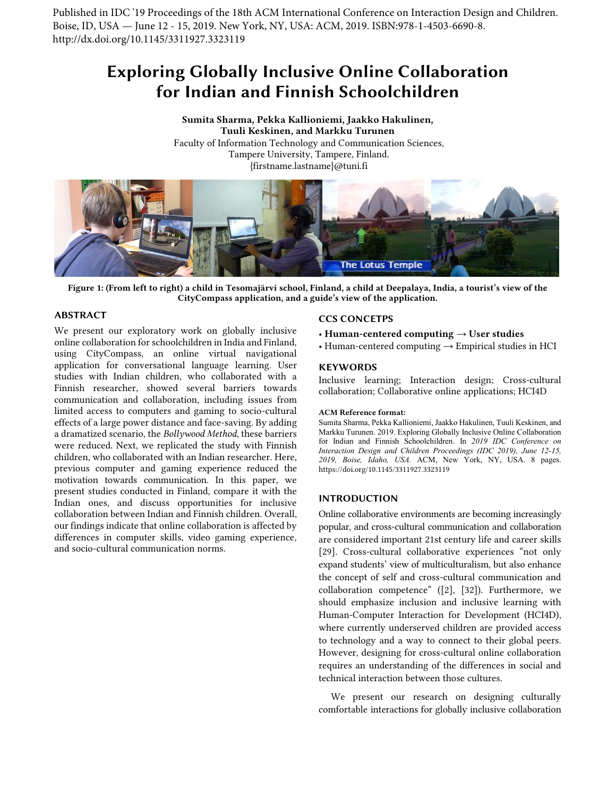Published in IDC '19 Proceedings of the 18th ACM International Conference on Interaction Design and Children. Boise, ID, USA — June 12 - 15, 2019. New York, NY, USA: ACM, 2019. ISBN:978-1-4503-6690-8. http://dx.doi.org/10.1145/3311927.3323119

# Exploring Globally Inclusive Online Collaboration for Indian and Finnish Schoolchildren

Sumita Sharma, Pekka Kallioniemi, Jaakko Hakulinen, Tuuli Keskinen, and Markku Turunen Faculty of Information Technology and Communication Sciences, Tampere University, Tampere, Finland. {firstname.lastname}@tuni.fi



Figure 1: (From left to right) a child in Tesomajärvi school, Finland, a child at Deepalaya, India, a tourist's view of the CityCompass application, and a guide's view of the application.

## <span id="page-0-0"></span>ABSTRACT

We present our exploratory work on globally inclusive online collaboration for schoolchildren in India and Finland, using CityCompass, an online virtual navigational application for conversational language learning. User studies with Indian children, who collaborated with a Finnish researcher, showed several barriers towards communication and collaboration, including issues from limited access to computers and gaming to socio-cultural effects of a large power distance and face-saving. By adding a dramatized scenario, the *Bollywood Method*, these barriers were reduced. Next, we replicated the study with Finnish children, who collaborated with an Indian researcher. Here, previous computer and gaming experience reduced the motivation towards communication. In this paper, we present studies conducted in Finland, compare it with the Indian ones, and discuss opportunities for inclusive collaboration between Indian and Finnish children. Overall, our findings indicate that online collaboration is affected by differences in computer skills, video gaming experience, and socio-cultural communication norms.

### CCS CONCETPS

- Human-centered computing  $\rightarrow$  User studies
- Human-centered computing  $\rightarrow$  Empirical studies in HCI

## **KEYWORDS**

Inclusive learning; Interaction design; Cross-cultural collaboration; Collaborative online applications; HCI4D

#### ACM Reference format:

Sumita Sharma, Pekka Kallioniemi, Jaakko Hakulinen, Tuuli Keskinen, and Markku Turunen. 2019. Exploring Globally Inclusive Online Collaboration for Indian and Finnish Schoolchildren. In *2019 IDC Conference on Interaction Design and Children Proceedings (IDC 2019), June 12-15, 2019, Boise, Idaho, USA.* ACM, New York, NY, USA. 8 pages. https://doi.org/10.1145/3311927.3323119

## INTRODUCTION

Online collaborative environments are becoming increasingly popular, and cross-cultural communication and collaboration are considered important 21st century life and career skills [\[29\].](#page-7-0) Cross-cultural collaborative experiences "not only expand students' view of multiculturalism, but also enhance the concept of self and cross-cultural communication and collaboration competence" [\(\[2\],](#page-6-0) [\[32\]\)](#page-7-1). Furthermore, we should emphasize inclusion and inclusive learning with Human-Computer Interaction for Development (HCI4D), where currently underserved children are provided access to technology and a way to connect to their global peers. However, designing for cross-cultural online collaboration requires an understanding of the differences in social and technical interaction between those cultures.

We present our research on designing culturally comfortable interactions for globally inclusive collaboration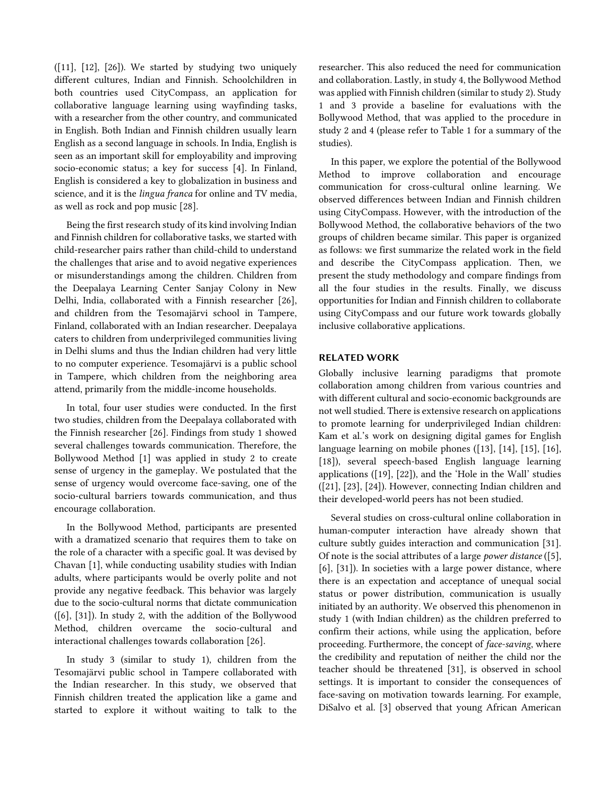$([11], [12], [26])$  $([11], [12], [26])$  $([11], [12], [26])$  $([11], [12], [26])$ . We started by studying two uniquely different cultures, Indian and Finnish. Schoolchildren in both countries used CityCompass, an application for collaborative language learning using wayfinding tasks, with a researcher from the other country, and communicated in English. Both Indian and Finnish children usually learn English as a second language in schools. In India, English is seen as an important skill for employability and improving socio-economic status; a key for success [\[4\].](#page-6-4) In Finland, English is considered a key to globalization in business and science, and it is the *lingua franca* for online and TV media, as well as rock and pop music [\[28\].](#page-6-5)

Being the first research study of its kind involving Indian and Finnish children for collaborative tasks, we started with child-researcher pairs rather than child-child to understand the challenges that arise and to avoid negative experiences or misunderstandings among the children. Children from the Deepalaya Learning Center Sanjay Colony in New Delhi, India, collaborated with a Finnish researcher [\[26\],](#page-6-3) and children from the Tesomajärvi school in Tampere, Finland, collaborated with an Indian researcher. Deepalaya caters to children from underprivileged communities living in Delhi slums and thus the Indian children had very little to no computer experience. Tesomajärvi is a public school in Tampere, which children from the neighboring area attend, primarily from the middle-income households.

In total, four user studies were conducted. In the first two studies, children from the Deepalaya collaborated with the Finnish researcher [\[26\].](#page-6-3) Findings from study 1 showed several challenges towards communication. Therefore, the Bollywood Method [\[1\]](#page-6-6) was applied in study 2 to create sense of urgency in the gameplay. We postulated that the sense of urgency would overcome face-saving, one of the socio-cultural barriers towards communication, and thus encourage collaboration.

In the Bollywood Method, participants are presented with a dramatized scenario that requires them to take on the role of a character with a specific goal. It was devised by Chavan [1], while conducting usability studies with Indian adults, where participants would be overly polite and not provide any negative feedback. This behavior was largely due to the socio-cultural norms that dictate communication [\(\[6\],](#page-6-7) [\[31\]\)](#page-7-2). In study 2, with the addition of the Bollywood Method, children overcame the socio-cultural and interactional challenges towards collaboration [\[26\].](#page-6-3)

In study 3 (similar to study 1), children from the Tesomajärvi public school in Tampere collaborated with the Indian researcher. In this study, we observed that Finnish children treated the application like a game and started to explore it without waiting to talk to the researcher. This also reduced the need for communication and collaboration. Lastly, in study 4, the Bollywood Method was applied with Finnish children (similar to study 2). Study 1 and 3 provide a baseline for evaluations with the Bollywood Method, that was applied to the procedure in study 2 and 4 (please refer to Table 1 for a summary of the studies).

In this paper, we explore the potential of the Bollywood Method to improve collaboration and encourage communication for cross-cultural online learning. We observed differences between Indian and Finnish children using CityCompass. However, with the introduction of the Bollywood Method, the collaborative behaviors of the two groups of children became similar. This paper is organized as follows: we first summarize the related work in the field and describe the CityCompass application. Then, we present the study methodology and compare findings from all the four studies in the results. Finally, we discuss opportunities for Indian and Finnish children to collaborate using CityCompass and our future work towards globally inclusive collaborative applications.

# RELATED WORK

Globally inclusive learning paradigms that promote collaboration among children from various countries and with different cultural and socio-economic backgrounds are not well studied. There is extensive research on applications to promote learning for underprivileged Indian children: Kam et al.'s work on designing digital games for English language learning on mobile phones [\(\[13\],](#page-6-8) [\[14\],](#page-6-9) [\[15\],](#page-6-10) [\[16\],](#page-6-11) [\[18\]\)](#page-6-12), several speech-based English language learning applications [\(\[19\],](#page-6-13) [\[22\]\)](#page-6-14), and the 'Hole in the Wall' studies [\(\[21\],](#page-6-15) [\[23\],](#page-6-16) [\[24\]\)](#page-6-17). However, connecting Indian children and their developed-world peers has not been studied.

Several studies on cross-cultural online collaboration in human-computer interaction have already shown that culture subtly guides interaction and communication [\[31\].](#page-7-2) Of note is the social attributes of a large *power distance* [\(\[5\],](#page-6-18) [\[6\],](#page-6-7) [\[31\]\)](#page-7-2). In societies with a large power distance, where there is an expectation and acceptance of unequal social status or power distribution, communication is usually initiated by an authority. We observed this phenomenon in study 1 (with Indian children) as the children preferred to confirm their actions, while using the application, before proceeding. Furthermore, the concept of *face-saving*, where the credibility and reputation of neither the child nor the teacher should be threatened [\[31\],](#page-7-2) is observed in school settings. It is important to consider the consequences of face-saving on motivation towards learning. For example, DiSalvo et al. [\[3\]](#page-6-19) observed that young African American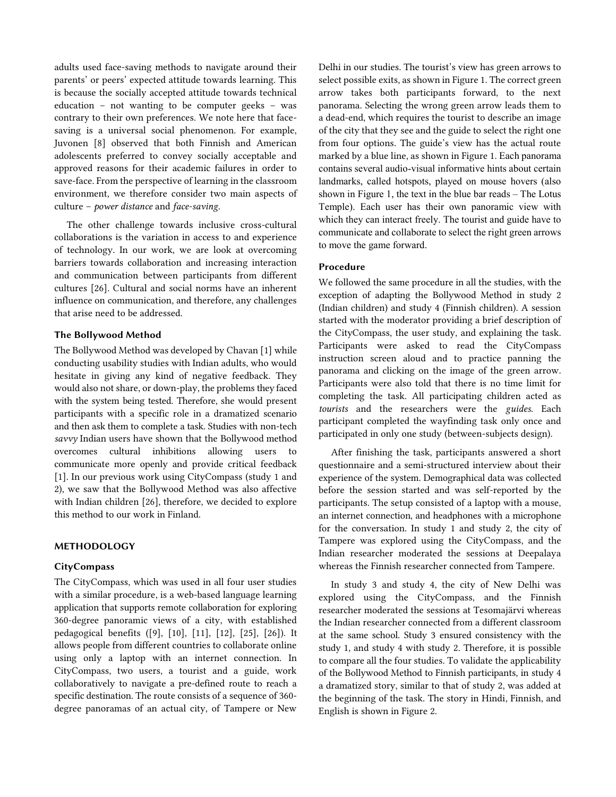adults used face-saving methods to navigate around their parents' or peers' expected attitude towards learning. This is because the socially accepted attitude towards technical education – not wanting to be computer geeks – was contrary to their own preferences. We note here that facesaving is a universal social phenomenon. For example, Juvonen [\[8\]](#page-6-20) observed that both Finnish and American adolescents preferred to convey socially acceptable and approved reasons for their academic failures in order to save-face. From the perspective of learning in the classroom environment, we therefore consider two main aspects of culture – *power distance* and *face-saving*.

The other challenge towards inclusive cross-cultural collaborations is the variation in access to and experience of technology. In our work, we are look at overcoming barriers towards collaboration and increasing interaction and communication between participants from different cultures [\[26\].](#page-6-3) Cultural and social norms have an inherent influence on communication, and therefore, any challenges that arise need to be addressed.

# The Bollywood Method

The Bollywood Method was developed by Chavan [1] while conducting usability studies with Indian adults, who would hesitate in giving any kind of negative feedback. They would also not share, or down-play, the problems they faced with the system being tested. Therefore, she would present participants with a specific role in a dramatized scenario and then ask them to complete a task. Studies with non-tech *savvy* Indian users have shown that the Bollywood method overcomes cultural inhibitions allowing users to communicate more openly and provide critical feedback [\[1\].](#page-6-6) In our previous work using CityCompass (study 1 and 2), we saw that the Bollywood Method was also affective with Indian children [\[26\],](#page-6-3) therefore, we decided to explore this method to our work in Finland.

## METHODOLOGY

# **CityCompass**

The CityCompass, which was used in all four user studies with a similar procedure, is a web-based language learning application that supports remote collaboration for exploring 360-degree panoramic views of a city, with established pedagogical benefits [\(\[9\],](#page-6-21) [\[10\],](#page-6-22) [\[11\],](#page-6-1) [\[12\],](#page-6-2) [\[25\],](#page-6-23) [\[26\]\)](#page-6-3). It allows people from different countries to collaborate online using only a laptop with an internet connection. In CityCompass, two users, a tourist and a guide, work collaboratively to navigate a pre-defined route to reach a specific destination. The route consists of a sequence of 360 degree panoramas of an actual city, of Tampere or New

Delhi in our studies. The tourist's view has green arrows to select possible exits, as shown i[n Figure 1.](#page-0-0) The correct green arrow takes both participants forward, to the next panorama. Selecting the wrong green arrow leads them to a dead-end, which requires the tourist to describe an image of the city that they see and the guide to select the right one from four options. The guide's view has the actual route marked by a blue line, as shown in [Figure 1.](#page-0-0) Each panorama contains several audio-visual informative hints about certain landmarks, called hotspots, played on mouse hovers (also shown i[n Figure 1,](#page-0-0) the text in the blue bar reads – The Lotus Temple). Each user has their own panoramic view with which they can interact freely. The tourist and guide have to communicate and collaborate to select the right green arrows to move the game forward.

# Procedure

We followed the same procedure in all the studies, with the exception of adapting the Bollywood Method in study 2 (Indian children) and study 4 (Finnish children). A session started with the moderator providing a brief description of the CityCompass, the user study, and explaining the task. Participants were asked to read the CityCompass instruction screen aloud and to practice panning the panorama and clicking on the image of the green arrow. Participants were also told that there is no time limit for completing the task. All participating children acted as *tourists* and the researchers were the *guides*. Each participant completed the wayfinding task only once and participated in only one study (between-subjects design).

After finishing the task, participants answered a short questionnaire and a semi-structured interview about their experience of the system. Demographical data was collected before the session started and was self-reported by the participants. The setup consisted of a laptop with a mouse, an internet connection, and headphones with a microphone for the conversation. In study 1 and study 2, the city of Tampere was explored using the CityCompass, and the Indian researcher moderated the sessions at Deepalaya whereas the Finnish researcher connected from Tampere.

In study 3 and study 4, the city of New Delhi was explored using the CityCompass, and the Finnish researcher moderated the sessions at Tesomajärvi whereas the Indian researcher connected from a different classroom at the same school. Study 3 ensured consistency with the study 1, and study 4 with study 2. Therefore, it is possible to compare all the four studies. To validate the applicability of the Bollywood Method to Finnish participants, in study 4 a dramatized story, similar to that of study 2, was added at the beginning of the task. The story in Hindi, Finnish, and English is shown in [Figure 2.](#page-3-0)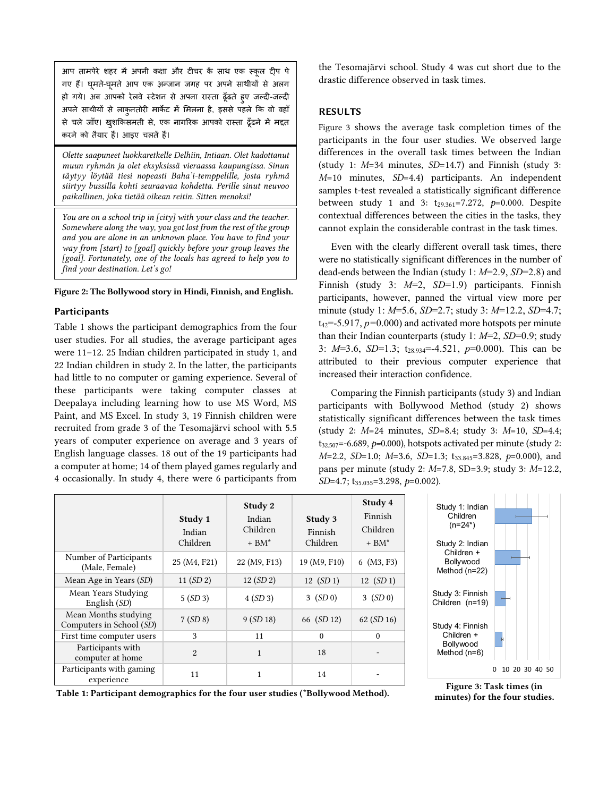आप तामपेरे शहर में अपनी कक्षा और टीचर कें साथ एक स्कूल टी्प पे गए हैं। घूमते-घूमते आप एक अ़न्जान जगह पर अपने साथीयों से अलग हो गये। अब आपको रेलवे स्टेशन से अपना रास्ता ढूूँढते हुए जल्दी-जल्दी अपने साथीयों से लाकुनतोरी मार्केट में मिलना है, इससे पहले कि वो वहाँ से चले जाँए। खुशकिसमती से, एक नागरिक आपको रास्ता ढूँढने में मद्दत करने को तैयार हैं। आइए चलतें हैं।

*Olette saapuneet luokkaretkelle Delhiin, Intiaan. Olet kadottanut muun ryhmän ja olet eksyksissä vieraassa kaupungissa. Sinun täytyy löytää tiesi nopeasti Baha'i-temppelille, josta ryhmä siirtyy bussilla kohti seuraavaa kohdetta. Perille sinut neuvoo paikallinen, joka tietää oikean reitin. Sitten menoksi!*

*You are on a school trip in [city] with your class and the teacher. Somewhere along the way, you got lost from the rest of the group and you are alone in an unknown place. You have to find your way from [start] to [goal] quickly before your group leaves the [goal]. Fortunately, one of the locals has agreed to help you to find your destination. Let's go!*

### <span id="page-3-0"></span>Figure 2: The Bollywood story in Hindi, Finnish, and English.

## **Participants**

Table 1 shows the participant demographics from the four user studies. For all studies, the average participant ages were 11–12. 25 Indian children participated in study 1, and 22 Indian children in study 2. In the latter, the participants had little to no computer or gaming experience. Several of these participants were taking computer classes at Deepalaya including learning how to use MS Word, MS Paint, and MS Excel. In study 3, 19 Finnish children were recruited from grade 3 of the Tesomajärvi school with 5.5 years of computer experience on average and 3 years of English language classes. 18 out of the 19 participants had a computer at home; 14 of them played games regularly and 4 occasionally. In study 4, there were 6 participants from

the Tesomajärvi school. Study 4 was cut short due to the drastic difference observed in task times.

## RESULTS

[Figure 3](#page-3-1) shows the average task completion times of the participants in the four user studies. We observed large differences in the overall task times between the Indian (study 1: *M*=34 minutes, *SD*=14.7) and Finnish (study 3: *M*=10 minutes, *SD*=4.4) participants. An independent samples t-test revealed a statistically significant difference between study 1 and 3: t<sub>29.361</sub>=7.272, p=0.000. Despite contextual differences between the cities in the tasks, they cannot explain the considerable contrast in the task times.

Even with the clearly different overall task times, there were no statistically significant differences in the number of dead-ends between the Indian (study 1: *M*=2.9, *SD*=2.8) and Finnish (study 3: *M*=2, *SD*=1.9) participants. Finnish participants, however, panned the virtual view more per minute (study 1: *M*=5.6, *SD*=2.7; study 3: *M*=12.2, *SD*=4.7; t42=-5.917, *p=*0.000) and activated more hotspots per minute than their Indian counterparts (study 1: *M*=2, *SD*=0.9; study 3: *M*=3.6, *SD*=1.3; t28.934=-4.521, *p*=0.000). This can be attributed to their previous computer experience that increased their interaction confidence.

Comparing the Finnish participants (study 3) and Indian participants with Bollywood Method (study 2) shows statistically significant differences between the task times (study 2: *M*=24 minutes, *SD*=8.4; study 3: *M*=10, *SD*=4.4; t32.507=-6.689, *p=*0.000), hotspots activated per minute (study 2: *M*=2.2, *SD*=1.0; *M*=3.6, *SD*=1.3; t33.845=3.828, *p*=0.000), and pans per minute (study 2: *M*=7.8, SD=3.9; study 3: *M*=12.2, *SD*=4.7; t35.035=3.298, *p*=0.002).

|                                                  | Study 1<br>Indian<br>Children | Study 2<br>Indian<br>Children<br>$+$ BM* | Study 3<br>Finnish<br>Children | Study 4<br>Finnish<br>Children<br>$+$ BM* |
|--------------------------------------------------|-------------------------------|------------------------------------------|--------------------------------|-------------------------------------------|
| Number of Participants<br>(Male, Female)         | 25 (M4, F21)                  | 22 (M9, F13)                             | 19 (M9, F10)                   | 6 (M3, F3)                                |
| Mean Age in Years (SD)                           | 11 (SD 2)                     | 12 (SD 2)                                | 12 (SD 1)                      | 12 (SD 1)                                 |
| Mean Years Studying<br>English (SD)              | 5(SD3)                        | 4(SD3)                                   | 3 (SD 0)                       | 3 (SD 0)                                  |
| Mean Months studying<br>Computers in School (SD) | 7(SD8)                        | 9 (SD 18)                                | 66 (SD 12)                     | 62(SD16)                                  |
| First time computer users                        | 3                             | 11                                       | $\theta$                       | $\theta$                                  |
| Participants with<br>computer at home            | $\overline{2}$                | $\mathbf{1}$                             | 18                             |                                           |
| Participants with gaming<br>experience           | 11                            | 1                                        | 14                             |                                           |



Table 1: Participant demographics for the four user studies (\*Bollywood Method).

<span id="page-3-1"></span>Figure 3: Task times (in minutes) for the four studies.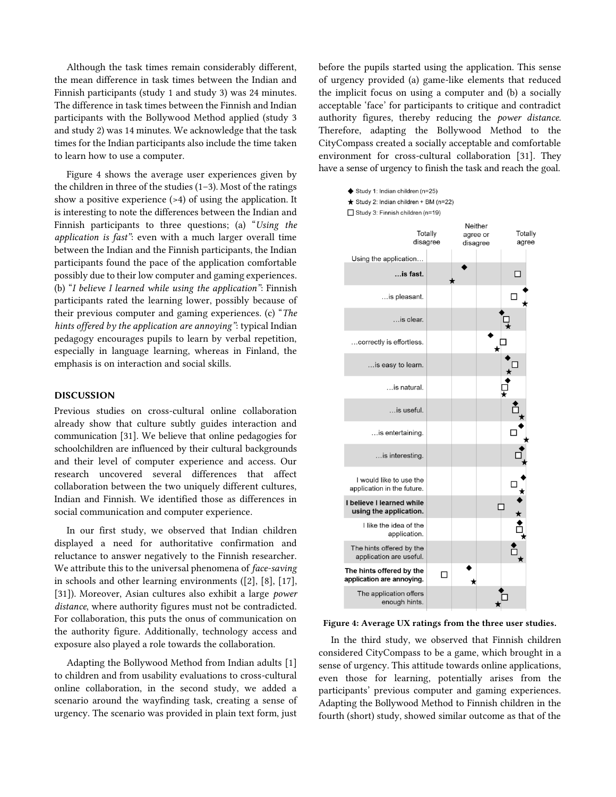Although the task times remain considerably different, the mean difference in task times between the Indian and Finnish participants (study 1 and study 3) was 24 minutes. The difference in task times between the Finnish and Indian participants with the Bollywood Method applied (study 3 and study 2) was 14 minutes. We acknowledge that the task times for the Indian participants also include the time taken to learn how to use a computer.

[Figure 4](#page-4-0) shows the average user experiences given by the children in three of the studies (1–3). Most of the ratings show a positive experience (>4) of using the application. It is interesting to note the differences between the Indian and Finnish participants to three questions; (a) "*Using the application is fast"*: even with a much larger overall time between the Indian and the Finnish participants, the Indian participants found the pace of the application comfortable possibly due to their low computer and gaming experiences. (b) "*I believe I learned while using the application"*: Finnish participants rated the learning lower, possibly because of their previous computer and gaming experiences. (c) "*The hints offered by the application are annoying"*: typical Indian pedagogy encourages pupils to learn by verbal repetition, especially in language learning, whereas in Finland, the emphasis is on interaction and social skills.

## DISCUSSION

Previous studies on cross-cultural online collaboration already show that culture subtly guides interaction and communication [\[31\].](#page-7-2) We believe that online pedagogies for schoolchildren are influenced by their cultural backgrounds and their level of computer experience and access. Our research uncovered several differences that affect collaboration between the two uniquely different cultures, Indian and Finnish. We identified those as differences in social communication and computer experience.

In our first study, we observed that Indian children displayed a need for authoritative confirmation and reluctance to answer negatively to the Finnish researcher. We attribute this to the universal phenomena of *face-saving* in schools and other learning environments [\(\[2\],](#page-6-0) [\[8\],](#page-6-20) [\[17\],](#page-6-24) [\[31\]\)](#page-7-2). Moreover, Asian cultures also exhibit a large *power distance*, where authority figures must not be contradicted. For collaboration, this puts the onus of communication on the authority figure. Additionally, technology access and exposure also played a role towards the collaboration.

Adapting the Bollywood Method from Indian adults [\[1\]](#page-6-6) to children and from usability evaluations to cross-cultural online collaboration, in the second study, we added a scenario around the wayfinding task, creating a sense of urgency. The scenario was provided in plain text form, just before the pupils started using the application. This sense of urgency provided (a) game-like elements that reduced the implicit focus on using a computer and (b) a socially acceptable 'face' for participants to critique and contradict authority figures, thereby reducing the *power distance*. Therefore, adapting the Bollywood Method to the CityCompass created a socially acceptable and comfortable environment for cross-cultural collaboration [\[31\].](#page-7-2) They have a sense of urgency to finish the task and reach the goal.



<span id="page-4-0"></span>Figure 4: Average UX ratings from the three user studies.

In the third study, we observed that Finnish children considered CityCompass to be a game, which brought in a sense of urgency. This attitude towards online applications, even those for learning, potentially arises from the participants' previous computer and gaming experiences. Adapting the Bollywood Method to Finnish children in the fourth (short) study, showed similar outcome as that of the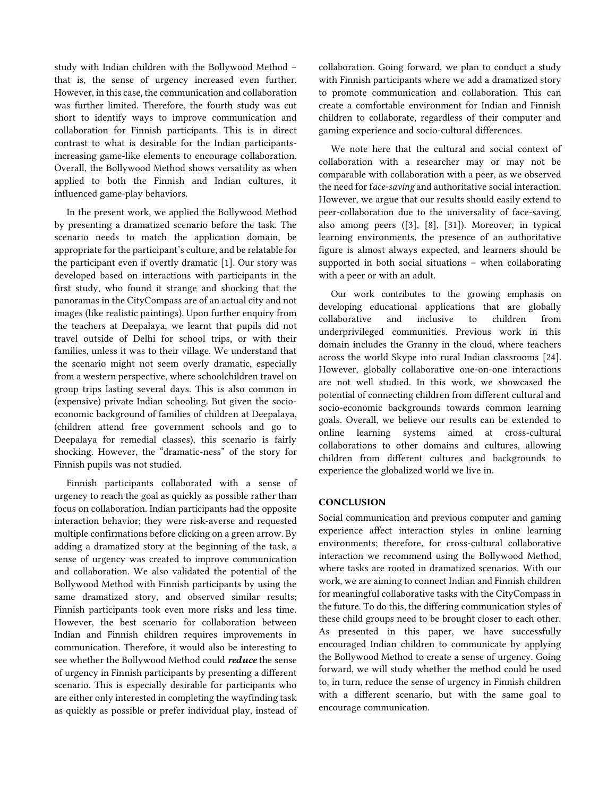study with Indian children with the Bollywood Method – that is, the sense of urgency increased even further. However, in this case, the communication and collaboration was further limited. Therefore, the fourth study was cut short to identify ways to improve communication and collaboration for Finnish participants. This is in direct contrast to what is desirable for the Indian participantsincreasing game-like elements to encourage collaboration. Overall, the Bollywood Method shows versatility as when applied to both the Finnish and Indian cultures, it influenced game-play behaviors.

In the present work, we applied the Bollywood Method by presenting a dramatized scenario before the task. The scenario needs to match the application domain, be appropriate for the participant's culture, and be relatable for the participant even if overtly dramatic [\[1\].](#page-6-6) Our story was developed based on interactions with participants in the first study, who found it strange and shocking that the panoramas in the CityCompass are of an actual city and not images (like realistic paintings). Upon further enquiry from the teachers at Deepalaya, we learnt that pupils did not travel outside of Delhi for school trips, or with their families, unless it was to their village. We understand that the scenario might not seem overly dramatic, especially from a western perspective, where schoolchildren travel on group trips lasting several days. This is also common in (expensive) private Indian schooling. But given the socioeconomic background of families of children at Deepalaya, (children attend free government schools and go to Deepalaya for remedial classes), this scenario is fairly shocking. However, the "dramatic-ness" of the story for Finnish pupils was not studied.

Finnish participants collaborated with a sense of urgency to reach the goal as quickly as possible rather than focus on collaboration. Indian participants had the opposite interaction behavior; they were risk-averse and requested multiple confirmations before clicking on a green arrow. By adding a dramatized story at the beginning of the task, a sense of urgency was created to improve communication and collaboration. We also validated the potential of the Bollywood Method with Finnish participants by using the same dramatized story, and observed similar results; Finnish participants took even more risks and less time. However, the best scenario for collaboration between Indian and Finnish children requires improvements in communication. Therefore, it would also be interesting to see whether the Bollywood Method could *reduce* the sense of urgency in Finnish participants by presenting a different scenario. This is especially desirable for participants who are either only interested in completing the wayfinding task as quickly as possible or prefer individual play, instead of

collaboration. Going forward, we plan to conduct a study with Finnish participants where we add a dramatized story to promote communication and collaboration. This can create a comfortable environment for Indian and Finnish children to collaborate, regardless of their computer and gaming experience and socio-cultural differences.

We note here that the cultural and social context of collaboration with a researcher may or may not be comparable with collaboration with a peer, as we observed the need for f*ace-saving* and authoritative social interaction. However, we argue that our results should easily extend to peer-collaboration due to the universality of face-saving, also among peers [\(\[3\],](#page-6-19) [\[8\],](#page-6-20) [\[31\]\)](#page-7-2). Moreover, in typical learning environments, the presence of an authoritative figure is almost always expected, and learners should be supported in both social situations – when collaborating with a peer or with an adult.

Our work contributes to the growing emphasis on developing educational applications that are globally collaborative and inclusive to children from underprivileged communities. Previous work in this domain includes the Granny in the cloud, where teachers across the world Skype into rural Indian classrooms [\[24\].](#page-6-17) However, globally collaborative one-on-one interactions are not well studied. In this work, we showcased the potential of connecting children from different cultural and socio-economic backgrounds towards common learning goals. Overall, we believe our results can be extended to online learning systems aimed at cross-cultural collaborations to other domains and cultures, allowing children from different cultures and backgrounds to experience the globalized world we live in.

# **CONCLUSION**

Social communication and previous computer and gaming experience affect interaction styles in online learning environments; therefore, for cross-cultural collaborative interaction we recommend using the Bollywood Method, where tasks are rooted in dramatized scenarios. With our work, we are aiming to connect Indian and Finnish children for meaningful collaborative tasks with the CityCompass in the future. To do this, the differing communication styles of these child groups need to be brought closer to each other. As presented in this paper, we have successfully encouraged Indian children to communicate by applying the Bollywood Method to create a sense of urgency. Going forward, we will study whether the method could be used to, in turn, reduce the sense of urgency in Finnish children with a different scenario, but with the same goal to encourage communication.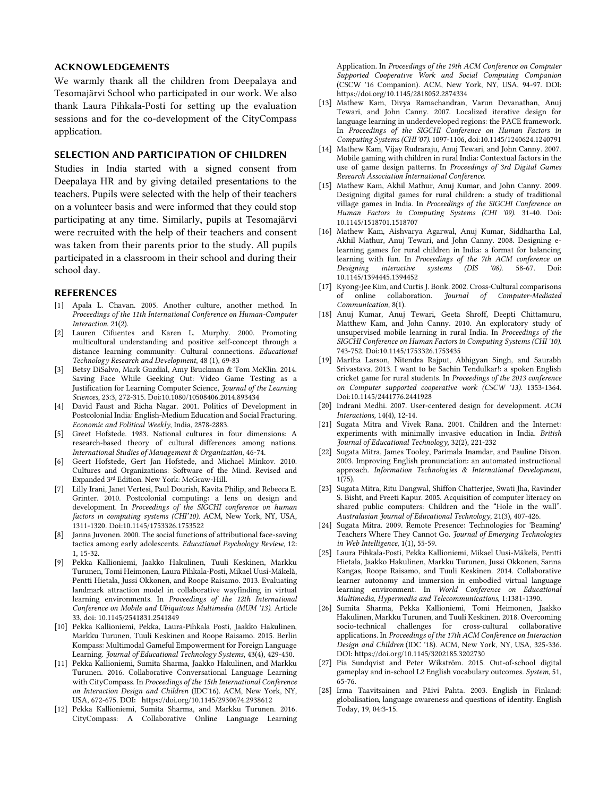## ACKNOWLEDGEMENTS

We warmly thank all the children from Deepalaya and Tesomajärvi School who participated in our work. We also thank Laura Pihkala-Posti for setting up the evaluation sessions and for the co-development of the CityCompass application.

# SELECTION AND PARTICIPATION OF CHILDREN

Studies in India started with a signed consent from Deepalaya HR and by giving detailed presentations to the teachers. Pupils were selected with the help of their teachers on a volunteer basis and were informed that they could stop participating at any time. Similarly, pupils at Tesomajärvi were recruited with the help of their teachers and consent was taken from their parents prior to the study. All pupils participated in a classroom in their school and during their school day.

## REFERENCES

- <span id="page-6-6"></span>[1] Apala L. Chavan. 2005. Another culture, another method. In *Proceedings of the 11th International Conference on Human-Computer Interaction*. 21(2).
- <span id="page-6-0"></span>[2] Lauren Cifuentes and Karen L. Murphy. 2000. Promoting multicultural understanding and positive self-concept through a distance learning community: Cultural connections. *Educational Technology Research and Development*, 48 (1), 69-83
- <span id="page-6-19"></span>[3] Betsy DiSalvo, Mark Guzdial, Amy Bruckman & Tom McKlin. 2014. Saving Face While Geeking Out: Video Game Testing as a Justification for Learning Computer Science, *Journal of the Learning Sciences*, 23:3, 272-315. Doi:10.1080/10508406.2014.893434
- <span id="page-6-4"></span>[4] David Faust and Richa Nagar. 2001. Politics of Development in Postcolonial India: English-Medium Education and Social Fracturing. *Economic and Political Weekly*, India, 2878-2883.
- <span id="page-6-18"></span>[5] Greet Hofstede. 1983. National cultures in four dimensions: A research-based theory of cultural differences among nations. *International Studies of Management & Organization*, 46-74.
- <span id="page-6-7"></span>[6] Geert Hofstede, Gert Jan Hofstede, and Michael Minkov. 2010. Cultures and Organizations: Software of the Mind. Revised and Expanded 3rd Edition. New York: McGraw-Hill.
- [7] Lilly Irani, Janet Vertesi, Paul Dourish, Kavita Philip, and Rebecca E. Grinter. 2010. Postcolonial computing: a lens on design and development. In *Proceedings of the SIGCHI conference on human factors in computing systems (CHI'10)*. ACM, New York, NY, USA, 1311-1320. Doi:10.1145/1753326.1753522
- <span id="page-6-20"></span>[8] Janna Juvonen. 2000. The social functions of attributional face-saving tactics among early adolescents. *Educational Psychology Review*, 12: 1, 15-32.
- <span id="page-6-21"></span>[9] Pekka Kallioniemi, Jaakko Hakulinen, Tuuli Keskinen, Markku Turunen, Tomi Heimonen, Laura Pihkala-Posti, Mikael Uusi-Mäkelä, Pentti Hietala, Jussi Okkonen, and Roope Raisamo. 2013. Evaluating landmark attraction model in collaborative wayfinding in virtual learning environments. In *Proceedings of the 12th International Conference on Mobile and Ubiquitous Multimedia (MUM '13).* Article 33, doi: 10.1145/2541831.2541849
- <span id="page-6-22"></span>[10] Pekka Kallioniemi, Pekka, Laura-Pihkala Posti, Jaakko Hakulinen, Markku Turunen, Tuuli Keskinen and Roope Raisamo. 2015. Berlin Kompass: Multimodal Gameful Empowerment for Foreign Language Learning. *Journal of Educational Technology Systems*, 43(4), 429-450.
- <span id="page-6-1"></span>[11] Pekka Kallioniemi, Sumita Sharma, Jaakko Hakulinen, and Markku Turunen. 2016. Collaborative Conversational Language Learning with CityCompass. In *Proceedings of the 15th International Conference on Interaction Design and Children* (IDC'16). ACM, New York, NY, USA, 672-675. DOI: <https://doi.org/10.1145/2930674.2938612>
- <span id="page-6-2"></span>[12] Pekka Kallioniemi, Sumita Sharma, and Markku Turunen. 2016. CityCompass: A Collaborative Online Language Learning

Application. In *Proceedings of the 19th ACM Conference on Computer Supported Cooperative Work and Social Computing Companion* (CSCW '16 Companion). ACM, New York, NY, USA, 94-97. DOI: <https://doi.org/10.1145/2818052.2874334>

- <span id="page-6-8"></span>[13] Mathew Kam, Divya Ramachandran, Varun Devanathan, Anuj Tewari, and John Canny. 2007. Localized iterative design for language learning in underdeveloped regions: the PACE framework. In *Proceedings of the SIGCHI Conference on Human Factors in Computing Systems (CHI '07).* 1097-1106, doi:10.1145/1240624.1240791
- <span id="page-6-9"></span>[14] Mathew Kam, Vijay Rudraraju, Anuj Tewari, and John Canny. 2007. Mobile gaming with children in rural India: Contextual factors in the use of game design patterns. In *Proceedings of 3rd Digital Games Research Association International Conference*.
- <span id="page-6-10"></span>[15] Mathew Kam, Akhil Mathur, Anuj Kumar, and John Canny. 2009. Designing digital games for rural children: a study of traditional village games in India. In *Proceedings of the SIGCHI Conference on Human Factors in Computing Systems (CHI '09).* 31-40. Doi: 10.1145/1518701.1518707
- <span id="page-6-11"></span>[16] Mathew Kam, Aishvarya Agarwal, Anuj Kumar, Siddhartha Lal, Akhil Mathur, Anuj Tewari, and John Canny. 2008. Designing elearning games for rural children in India: a format for balancing learning with fun. In *Proceedings of the 7th ACM conference on Designing interactive systems (DIS '08).* 58-67. Doi: 10.1145/1394445.1394452
- <span id="page-6-24"></span>[17] Kyong-Jee Kim, and Curtis J. Bonk. 2002. Cross‐Cultural comparisons of online collaboration. *Journal of Computer‐Mediated Communication,* 8(1).
- <span id="page-6-12"></span>[18] Anuj Kumar, Anuj Tewari, Geeta Shroff, Deepti Chittamuru, Matthew Kam, and John Canny. 2010. An exploratory study of unsupervised mobile learning in rural India. In *Proceedings of the SIGCHI Conference on Human Factors in Computing Systems (CHI '10).* 743-752. Doi:10.1145/1753326.1753435
- <span id="page-6-13"></span>[19] Martha Larson, Nitendra Rajput, Abhigyan Singh, and Saurabh Srivastava. 2013. I want to be Sachin Tendulkar!: a spoken English cricket game for rural students. In *Proceedings of the 2013 conference on Computer supported cooperative work (CSCW '13).* 1353-1364. Doi:10.1145/2441776.2441928
- [20] Indrani Medhi. 2007. User-centered design for development. *ACM Interactions,* 14(4), 12-14.
- <span id="page-6-15"></span>[21] Sugata Mitra and Vivek Rana. 2001. Children and the Internet: experiments with minimally invasive education in India. *British Journal of Educational Technology,* 32(2), 221-232
- <span id="page-6-14"></span>[22] Sugata Mitra, James Tooley, Parimala Inamdar, and Pauline Dixon. 2003. Improving English pronunciation: an automated instructional approach. *Information Technologies & International Development,* 1(75).
- <span id="page-6-16"></span>[23] Sugata Mitra, Ritu Dangwal, Shiffon Chatterjee, Swati Jha, Ravinder S. Bisht, and Preeti Kapur. 2005. Acquisition of computer literacy on shared public computers: Children and the "Hole in the wall". *Australasian Journal of Educational Technology*, 21(3), 407-426.
- <span id="page-6-17"></span>[24] Sugata Mitra. 2009. Remote Presence: Technologies for 'Beaming' Teachers Where They Cannot Go. *Journal of Emerging Technologies in Web Intelligence*, 1(1), 55-59.
- <span id="page-6-23"></span>[25] Laura Pihkala-Posti, Pekka Kallioniemi, Mikael Uusi-Mäkelä, Pentti Hietala, Jaakko Hakulinen, Markku Turunen, Jussi Okkonen, Sanna Kangas, Roope Raisamo, and Tuuli Keskinen. 2014. Collaborative learner autonomy and immersion in embodied virtual language learning environment. In *World Conference on Educational Multimedia, Hypermedia and Telecommunications,* 1:1381-1390.
- <span id="page-6-3"></span>[26] Sumita Sharma, Pekka Kallioniemi, Tomi Heimonen, Jaakko Hakulinen, Markku Turunen, and Tuuli Keskinen. 2018. Overcoming socio-technical challenges for cross-cultural collaborative applications. In *Proceedings of the 17th ACM Conference on Interaction Design and Children* (IDC '18). ACM, New York, NY, USA, 325-336. DOI: https://doi.org/10.1145/3202185.3202730
- [27] Pia Sundqvist and Peter Wikström. 2015. Out-of-school digital gameplay and in-school L2 English vocabulary outcomes. *System*, 51, 65-76.
- <span id="page-6-5"></span>[28] Irma Taavitsainen and Päivi Pahta. 2003. English in Finland: globalisation, language awareness and questions of identity. English Today, 19, 04:3-15.